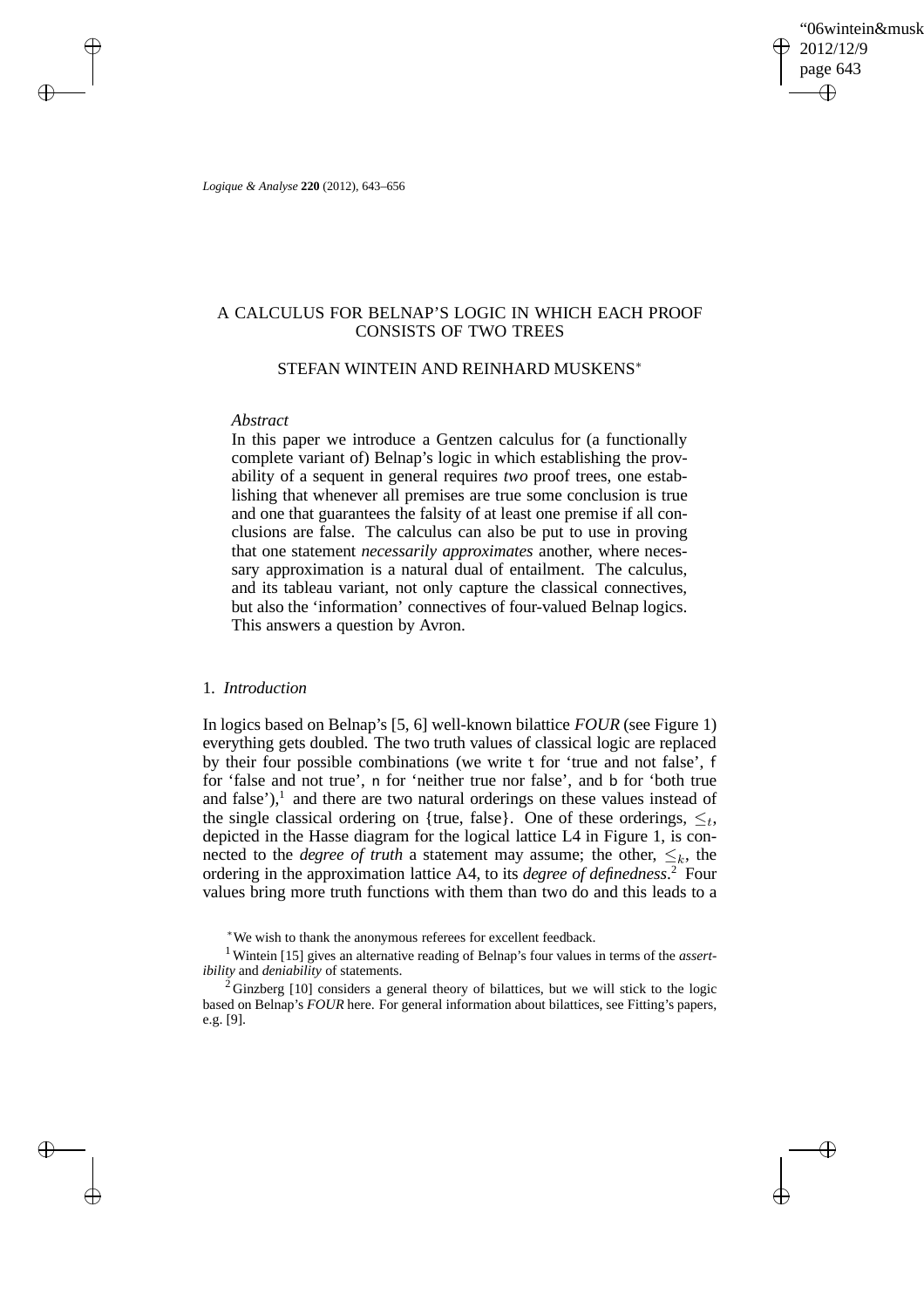'06wintein&musk 2012/12/9 page 643 ✐ ✐

✐

✐

*Logique & Analyse* **220** (2012), 643–656

 $\rightarrow$ 

 $\rightarrow$ 

✐

✐

# A CALCULUS FOR BELNAP'S LOGIC IN WHICH EACH PROOF CONSISTS OF TWO TREES

## STEFAN WINTEIN AND REINHARD MUSKENS<sup>∗</sup>

### *Abstract*

In this paper we introduce a Gentzen calculus for (a functionally complete variant of) Belnap's logic in which establishing the provability of a sequent in general requires *two* proof trees, one establishing that whenever all premises are true some conclusion is true and one that guarantees the falsity of at least one premise if all conclusions are false. The calculus can also be put to use in proving that one statement *necessarily approximates* another, where necessary approximation is a natural dual of entailment. The calculus, and its tableau variant, not only capture the classical connectives, but also the 'information' connectives of four-valued Belnap logics. This answers a question by Avron.

## 1. *Introduction*

In logics based on Belnap's [5, 6] well-known bilattice *FOUR* (see Figure 1) everything gets doubled. The two truth values of classical logic are replaced by their four possible combinations (we write t for 'true and not false', f for 'false and not true', n for 'neither true nor false', and b for 'both true and false'), $<sup>1</sup>$  and there are two natural orderings on these values instead of</sup> the single classical ordering on {true, false}. One of these orderings,  $\leq_t$ , depicted in the Hasse diagram for the logical lattice L4 in Figure 1, is connected to the *degree of truth* a statement may assume; the other,  $\leq_k$ , the ordering in the approximation lattice A4, to its *degree of definedness*. <sup>2</sup> Four values bring more truth functions with them than two do and this leads to a

<sup>∗</sup>We wish to thank the anonymous referees for excellent feedback.

<sup>1</sup> Wintein [15] gives an alternative reading of Belnap's four values in terms of the *assertibility* and *deniability* of statements.

 $2$  Ginzberg [10] considers a general theory of bilattices, but we will stick to the logic based on Belnap's *FOUR* here. For general information about bilattices, see Fitting's papers, e.g. [9].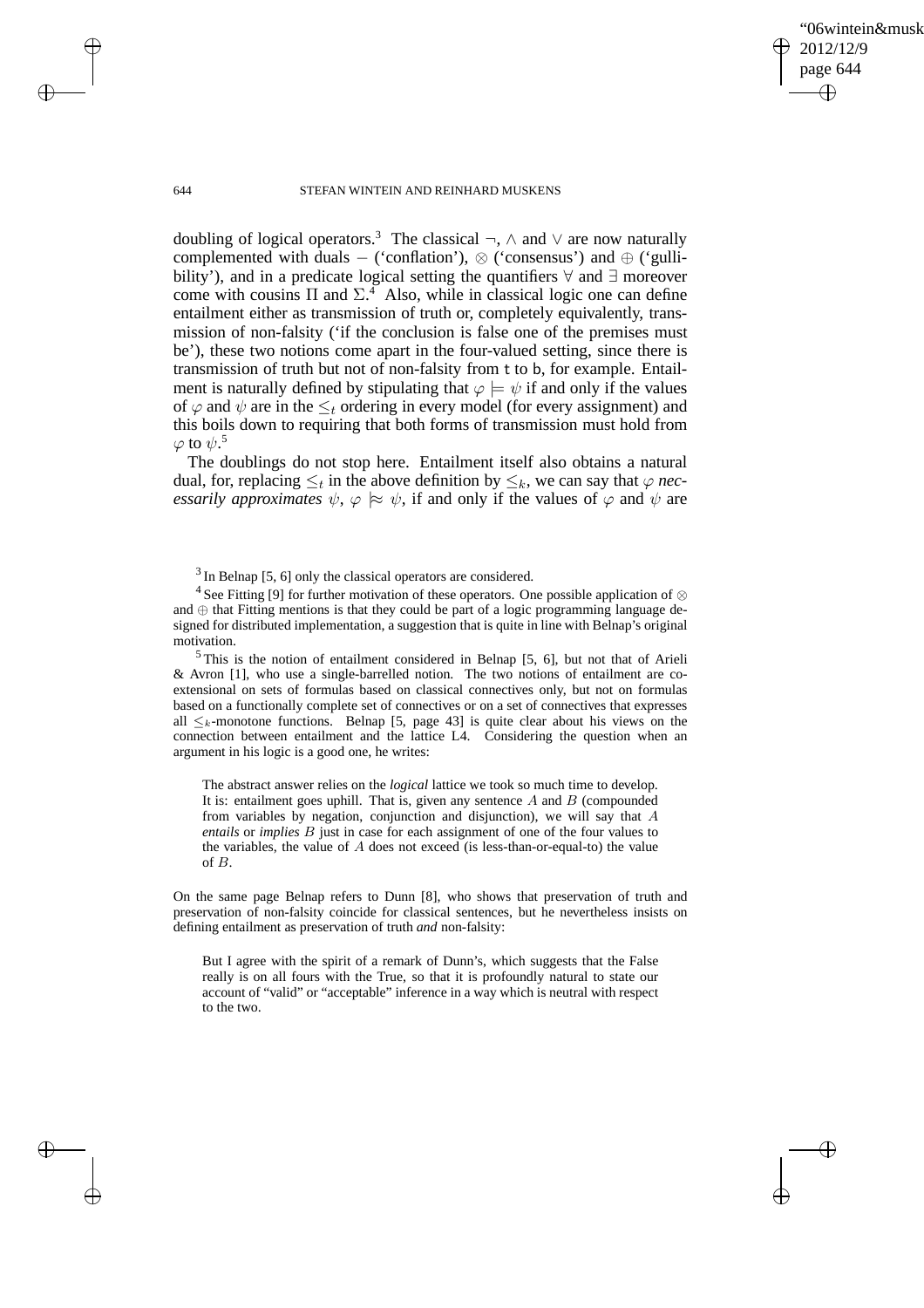✐

#### 644 STEFAN WINTEIN AND REINHARD MUSKENS

doubling of logical operators.<sup>3</sup> The classical  $\neg$ ,  $\wedge$  and  $\vee$  are now naturally complemented with duals − ('conflation'), ⊗ ('consensus') and ⊕ ('gullibility'), and in a predicate logical setting the quantifiers ∀ and ∃ moreover come with cousins  $\Pi$  and  $\Sigma^4$ . Also, while in classical logic one can define entailment either as transmission of truth or, completely equivalently, transmission of non-falsity ('if the conclusion is false one of the premises must be'), these two notions come apart in the four-valued setting, since there is transmission of truth but not of non-falsity from t to b, for example. Entailment is naturally defined by stipulating that  $\varphi \models \psi$  if and only if the values of  $\varphi$  and  $\psi$  are in the  $\leq_t$  ordering in every model (for every assignment) and this boils down to requiring that both forms of transmission must hold from  $\varphi$  to  $\psi.5$ 

The doublings do not stop here. Entailment itself also obtains a natural dual, for, replacing  $\leq_t$  in the above definition by  $\leq_k$ , we can say that  $\varphi$  *necessarily approximates*  $\psi$ ,  $\varphi \approx \psi$ , if and only if the values of  $\varphi$  and  $\psi$  are

<sup>4</sup> See Fitting [9] for further motivation of these operators. One possible application of ⊗ and ⊕ that Fitting mentions is that they could be part of a logic programming language designed for distributed implementation, a suggestion that is quite in line with Belnap's original motivation.

 $5$ This is the notion of entailment considered in Belnap [5, 6], but not that of Arieli & Avron [1], who use a single-barrelled notion. The two notions of entailment are coextensional on sets of formulas based on classical connectives only, but not on formulas based on a functionally complete set of connectives or on a set of connectives that expresses all  $\leq_k$ -monotone functions. Belnap [5, page 43] is quite clear about his views on the connection between entailment and the lattice L4. Considering the question when an argument in his logic is a good one, he writes:

The abstract answer relies on the *logical* lattice we took so much time to develop. It is: entailment goes uphill. That is, given any sentence  $A$  and  $B$  (compounded from variables by negation, conjunction and disjunction), we will say that A *entails* or *implies* B just in case for each assignment of one of the four values to the variables, the value of A does not exceed (is less-than-or-equal-to) the value of B.

On the same page Belnap refers to Dunn [8], who shows that preservation of truth and preservation of non-falsity coincide for classical sentences, but he nevertheless insists on defining entailment as preservation of truth *and* non-falsity:

But I agree with the spirit of a remark of Dunn's, which suggests that the False really is on all fours with the True, so that it is profoundly natural to state our account of "valid" or "acceptable" inference in a way which is neutral with respect to the two.

 $\rightarrow$ 

 $\rightarrow$ 

✐

 $3$  In Belnap [5, 6] only the classical operators are considered.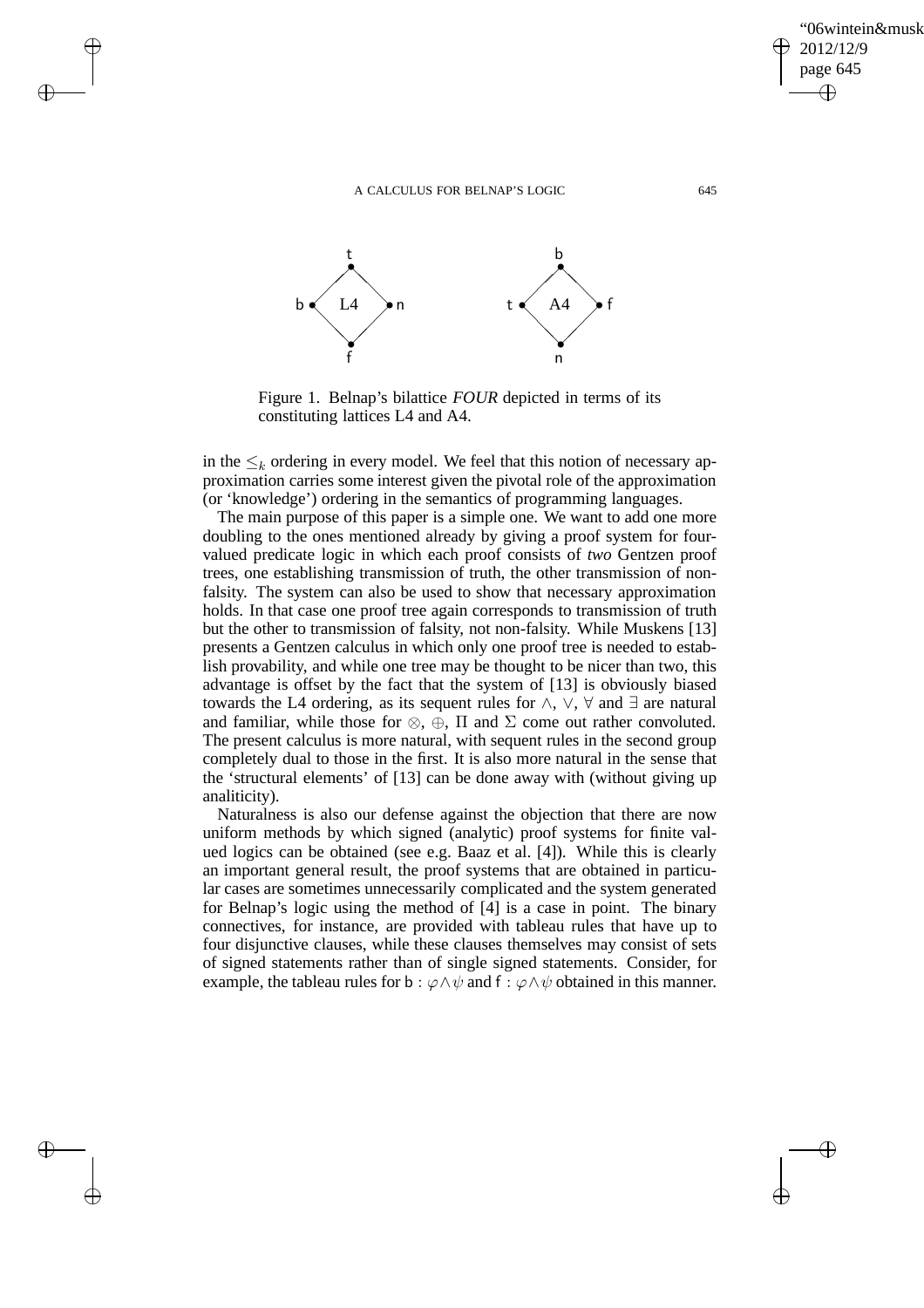$\rightarrow$ 

 $\rightarrow$ 

✐

✐



Figure 1. Belnap's bilattice *FOUR* depicted in terms of its constituting lattices L4 and A4.

in the  $\leq_k$  ordering in every model. We feel that this notion of necessary approximation carries some interest given the pivotal role of the approximation (or 'knowledge') ordering in the semantics of programming languages.

The main purpose of this paper is a simple one. We want to add one more doubling to the ones mentioned already by giving a proof system for fourvalued predicate logic in which each proof consists of *two* Gentzen proof trees, one establishing transmission of truth, the other transmission of nonfalsity. The system can also be used to show that necessary approximation holds. In that case one proof tree again corresponds to transmission of truth but the other to transmission of falsity, not non-falsity. While Muskens [13] presents a Gentzen calculus in which only one proof tree is needed to establish provability, and while one tree may be thought to be nicer than two, this advantage is offset by the fact that the system of [13] is obviously biased towards the L4 ordering, as its sequent rules for ∧, ∨, ∀ and ∃ are natural and familiar, while those for  $\otimes$ ,  $\oplus$ ,  $\Pi$  and  $\Sigma$  come out rather convoluted. The present calculus is more natural, with sequent rules in the second group completely dual to those in the first. It is also more natural in the sense that the 'structural elements' of [13] can be done away with (without giving up analiticity).

Naturalness is also our defense against the objection that there are now uniform methods by which signed (analytic) proof systems for finite valued logics can be obtained (see e.g. Baaz et al. [4]). While this is clearly an important general result, the proof systems that are obtained in particular cases are sometimes unnecessarily complicated and the system generated for Belnap's logic using the method of [4] is a case in point. The binary connectives, for instance, are provided with tableau rules that have up to four disjunctive clauses, while these clauses themselves may consist of sets of signed statements rather than of single signed statements. Consider, for example, the tableau rules for b :  $\varphi \land \psi$  and f :  $\varphi \land \psi$  obtained in this manner.

'06wintein&musk

2012/12/9 page 645

✐

✐

✐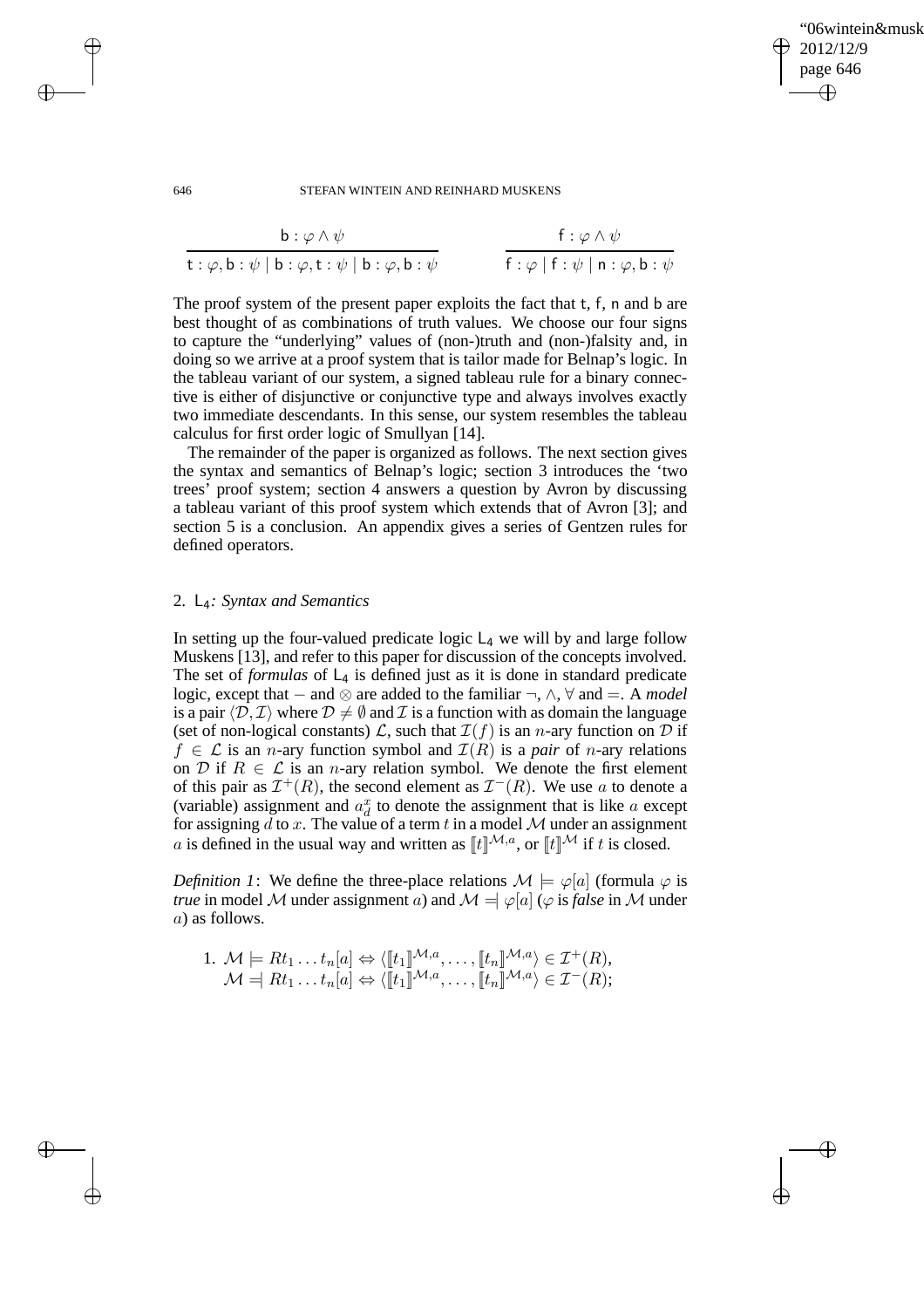'06wintein&musk 2012/12/9 page 646 ✐ ✐

✐

✐

### 646 STEFAN WINTEIN AND REINHARD MUSKENS

| $\mathbf{b}$ : $\varphi \wedge \psi$                                                                                                | f: $\varphi \wedge \psi$                         |
|-------------------------------------------------------------------------------------------------------------------------------------|--------------------------------------------------|
| $\mathsf{t} : \varphi, \mathsf{b} : \psi \mid \mathsf{b} : \varphi, \mathsf{t} : \psi \mid \mathsf{b} : \varphi, \mathsf{b} : \psi$ | $f : \varphi   f : \psi   n : \varphi, b : \psi$ |

The proof system of the present paper exploits the fact that t, f, n and b are best thought of as combinations of truth values. We choose our four signs to capture the "underlying" values of (non-)truth and (non-)falsity and, in doing so we arrive at a proof system that is tailor made for Belnap's logic. In the tableau variant of our system, a signed tableau rule for a binary connective is either of disjunctive or conjunctive type and always involves exactly two immediate descendants. In this sense, our system resembles the tableau calculus for first order logic of Smullyan [14].

The remainder of the paper is organized as follows. The next section gives the syntax and semantics of Belnap's logic; section 3 introduces the 'two trees' proof system; section 4 answers a question by Avron by discussing a tableau variant of this proof system which extends that of Avron [3]; and section 5 is a conclusion. An appendix gives a series of Gentzen rules for defined operators.

## 2. L4*: Syntax and Semantics*

In setting up the four-valued predicate logic  $L_4$  we will by and large follow Muskens [13], and refer to this paper for discussion of the concepts involved. The set of *formulas* of  $L_4$  is defined just as it is done in standard predicate logic, except that − and ⊗ are added to the familiar ¬, ∧, ∀ and =. A *model* is a pair  $\langle \mathcal{D}, \mathcal{I} \rangle$  where  $\mathcal{D} \neq \emptyset$  and  $\mathcal{I}$  is a function with as domain the language (set of non-logical constants)  $\mathcal{L}$ , such that  $\mathcal{I}(f)$  is an *n*-ary function on  $\mathcal{D}$  if  $f \in \mathcal{L}$  is an *n*-ary function symbol and  $\mathcal{I}(R)$  is a *pair* of *n*-ary relations on D if  $R \in \mathcal{L}$  is an *n*-ary relation symbol. We denote the first element of this pair as  $\mathcal{I}^+(R)$ , the second element as  $\mathcal{I}^-(R)$ . We use a to denote a (variable) assignment and  $a_d^x$  to denote the assignment that is like a except for assigning  $d$  to  $x$ . The value of a term  $t$  in a model  $M$  under an assignment a is defined in the usual way and written as  $[[t]]^{\mathcal{M},a}$ , or  $[[t]]^{\mathcal{M}}$  if t is closed.

*Definition 1*: We define the three-place relations  $\mathcal{M} \models \varphi[a]$  (formula  $\varphi$  is *true* in model M under assignment a) and  $\mathcal{M} = |\varphi| | (\varphi \text{ is false in } \mathcal{M})$  under a) as follows.

1. 
$$
\mathcal{M} \models Rt_1 \dots t_n[a] \Leftrightarrow \langle [[t_1]]^{\mathcal{M},a}, \dots, [[t_n]]^{\mathcal{M},a} \rangle \in \mathcal{I}^+(R),
$$
  
 $\mathcal{M} \models Rt_1 \dots t_n[a] \Leftrightarrow \langle [[t_1]]^{\mathcal{M},a}, \dots, [[t_n]]^{\mathcal{M},a} \rangle \in \mathcal{I}^-(R);$ 

 $\rightarrow$ 

 $\rightarrow$ 

✐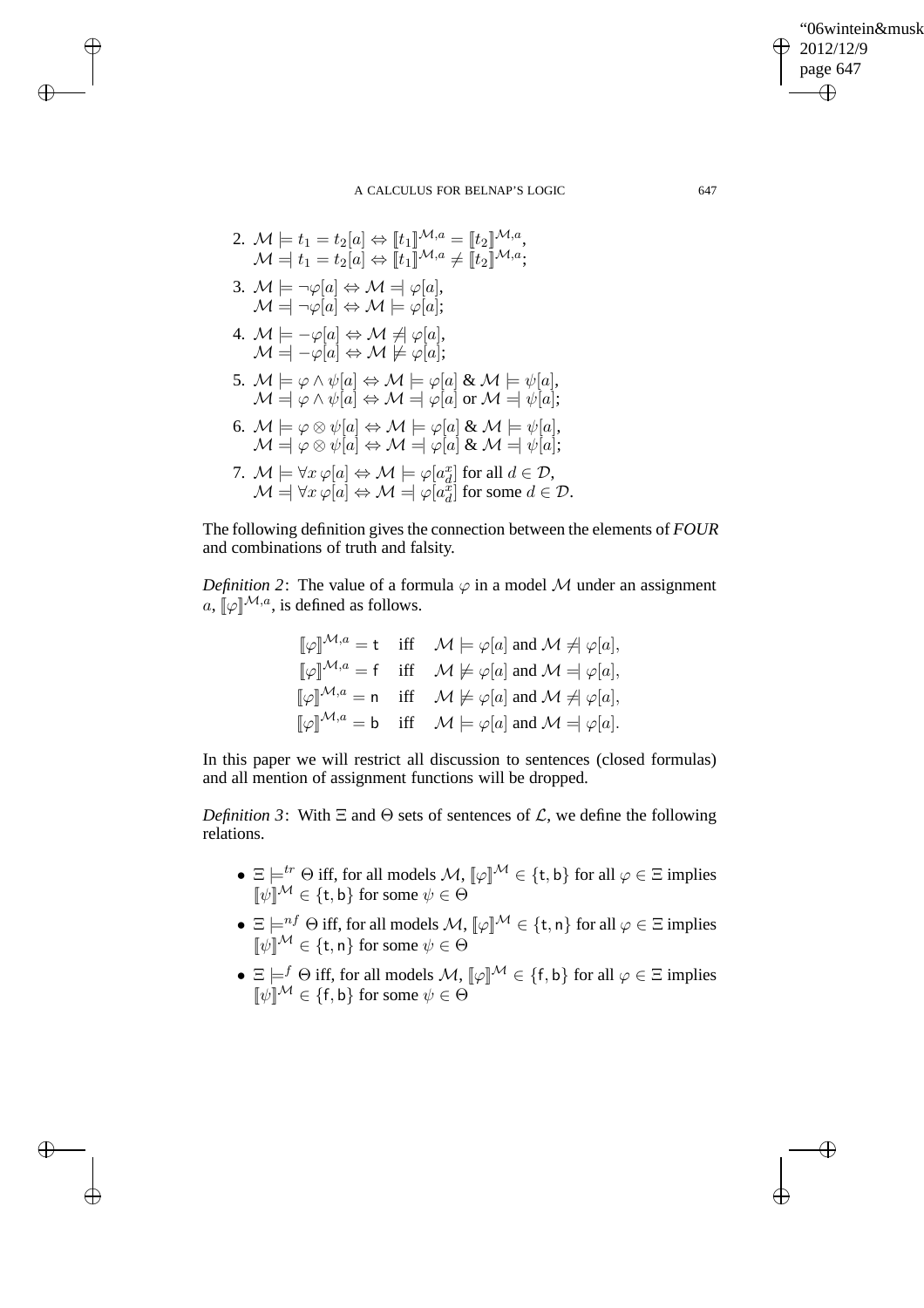"06wintein&musk 2012/12/9 page 647 ✐ ✐

 $\oplus$ 

✐

### A CALCULUS FOR BELNAP'S LOGIC 647

2.  $\mathcal{M} \models t_1 = t_2[a] \Leftrightarrow [t_1]^{ \mathcal{M},a} = [t_2]^{ \mathcal{M},a},$  $\mathcal{M} \stackrel{.}{=} \begin{matrix} t_1 = t_2[a] \Leftrightarrow \llbracket t_1 \rrbracket^{\mathcal{M},a} \neq \llbracket t_2 \rrbracket^{\mathcal{M},a}; \end{matrix}$ 3.  $\mathcal{M} \models \neg \varphi[a] \Leftrightarrow \mathcal{M} = \varphi[a],$  $\mathcal{M} = \neg \varphi[a] \Leftrightarrow \mathcal{M} \models \varphi[a];$ 4.  $\mathcal{M} \models -\varphi[a] \Leftrightarrow \mathcal{M} \neq \varphi[a],$  $\mathcal{M} = \left[-\varphi[a] \Leftrightarrow \mathcal{M} \not\models \varphi[a];\right.$ 5.  $\mathcal{M} \models \varphi \land \psi[a] \Leftrightarrow \mathcal{M} \models \varphi[a] \& \mathcal{M} \models \psi[a],$  $\mathcal{M} \stackrel{.}{=} \varphi \wedge \psi[a] \Leftrightarrow \mathcal{M} \stackrel{.}{=} \varphi[a] \text{ or } \mathcal{M} \stackrel{.}{=} \psi[a];$ 6.  $\mathcal{M} \models \varphi \otimes \psi[a] \Leftrightarrow \mathcal{M} \models \varphi[a] \& \mathcal{M} \models \psi[a],$  $\mathcal{M} \stackrel{d}{\Rightarrow} \varphi \otimes \psi[a] \Leftrightarrow \mathcal{M} \stackrel{d}{\Rightarrow} \varphi[a] \& \mathcal{M} \stackrel{d}{\Rightarrow} \psi[a];$ 7.  $\mathcal{M} \models \forall x \, \varphi[a] \Leftrightarrow \mathcal{M} \models \varphi[a_d^x]$  for all  $d \in \mathcal{D}$ ,  $\mathcal{M} = \forall x \varphi[a] \Leftrightarrow \mathcal{M} = \varphi[a_d^{\ddot{x}}]$  for some  $d \in \mathcal{D}$ .

 $\rightarrow$ 

 $\rightarrow$ 

✐

✐

The following definition gives the connection between the elements of *FOUR* and combinations of truth and falsity.

*Definition 2*: The value of a formula  $\varphi$  in a model M under an assignment a,  $\lbrack \! \lbrack \circ \rbrack^{M,a}$ , is defined as follows.

$$
\llbracket \varphi \rrbracket^{\mathcal{M},a} = \mathsf{t} \quad \text{iff} \quad \mathcal{M} \models \varphi[a] \text{ and } \mathcal{M} \not\equiv \varphi[a],
$$
  

$$
\llbracket \varphi \rrbracket^{\mathcal{M},a} = \mathsf{f} \quad \text{iff} \quad \mathcal{M} \not\models \varphi[a] \text{ and } \mathcal{M} \models \varphi[a],
$$
  

$$
\llbracket \varphi \rrbracket^{\mathcal{M},a} = \mathsf{n} \quad \text{iff} \quad \mathcal{M} \not\models \varphi[a] \text{ and } \mathcal{M} \not\equiv \varphi[a],
$$
  

$$
\llbracket \varphi \rrbracket^{\mathcal{M},a} = \mathsf{b} \quad \text{iff} \quad \mathcal{M} \models \varphi[a] \text{ and } \mathcal{M} \neq \varphi[a].
$$

In this paper we will restrict all discussion to sentences (closed formulas) and all mention of assignment functions will be dropped.

*Definition 3*: With  $\Xi$  and  $\Theta$  sets of sentences of  $\mathcal{L}$ , we define the following relations.

- $\Xi \models^{tr} \Theta$  iff, for all models  $\mathcal{M}, \llbracket \varphi \rrbracket^{\mathcal{M}} \in \{\mathsf{t},\mathsf{b}\}$  for all  $\varphi \in \Xi$  implies  $[\![\psi]\!]^{\mathcal{M}} \in {\{\text{t},\text{b}\}}$  for some  $\psi \in \Theta$
- $\Xi \models^{nf} \Theta$  iff, for all models  $\mathcal{M}, [\![\varphi]\!]^\mathcal{M} \in \{\mathsf{t},\mathsf{n}\}$  for all  $\varphi \in \Xi$  implies  $[\![\psi]\!]^{\mathcal{M}} \in \{\mathsf{t},\mathsf{n}\}$  for some  $\psi \in \Theta$
- $\Xi \models^f \Theta$  iff, for all models  $\mathcal{M}, [\![\varphi]\!]^\mathcal{M} \in \{\mathsf{f},\mathsf{b}\}$  for all  $\varphi \in \Xi$  implies  $[\![\psi]\!]^{\mathcal{M}} \in \{\mathsf{f},\mathsf{b}\}$  for some  $\psi \in \Theta$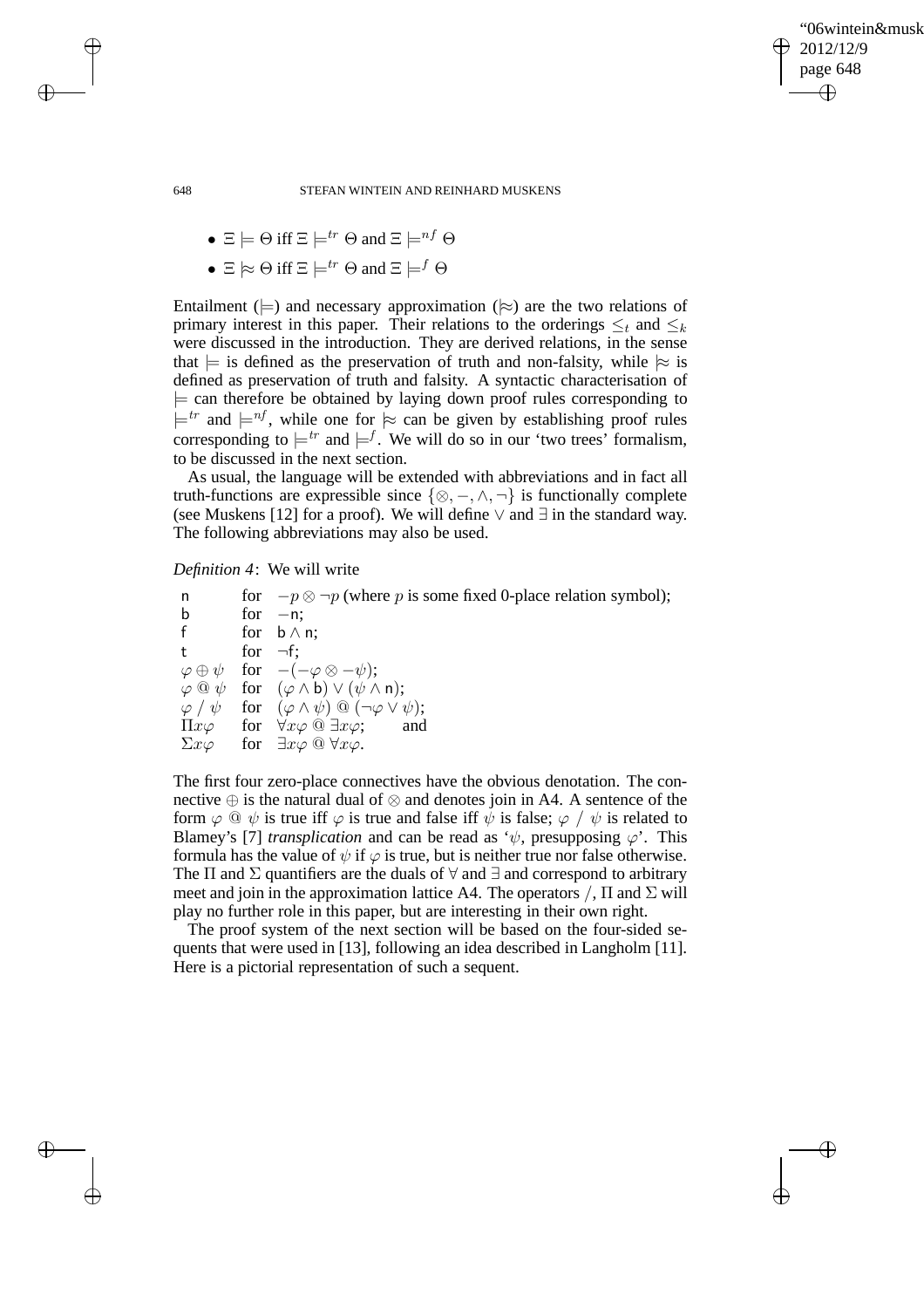✐

### 648 STEFAN WINTEIN AND REINHARD MUSKENS

• 
$$
\Xi \models \Theta
$$
 iff  $\Xi \models^{tr} \Theta$  and  $\Xi \models^{nf} \Theta$ 

•  $\Xi \approx \Theta$  iff  $\Xi \models^{tr} \Theta$  and  $\Xi \models^{f} \Theta$ 

Entailment ( $\models$ ) and necessary approximation ( $\models$ ) are the two relations of primary interest in this paper. Their relations to the orderings  $\leq_t$  and  $\leq_k$ were discussed in the introduction. They are derived relations, in the sense that  $\models$  is defined as the preservation of truth and non-falsity, while  $\models$  is defined as preservation of truth and falsity. A syntactic characterisation of  $\models$  can therefore be obtained by laying down proof rules corresponding to  $\models^{tr}$  and  $\models^{nf}$ , while one for  $\approx$  can be given by establishing proof rules corresponding to  $\models^{tr}$  and  $\models^{f}$ . We will do so in our 'two trees' formalism, to be discussed in the next section.

As usual, the language will be extended with abbreviations and in fact all truth-functions are expressible since  $\{\otimes, -, \wedge, \neg\}$  is functionally complete (see Muskens [12] for a proof). We will define  $\vee$  and  $\exists$  in the standard way. The following abbreviations may also be used.

*Definition 4*: We will write

n for  $-p \otimes \neg p$  (where p is some fixed 0-place relation symbol); b for  $-n$ ; f for  $b \wedge n$ ; t for  $\neg f$ ;  $\varphi \oplus \psi$  for  $-(-\varphi \otimes -\psi);$  $\varphi \circledcirc \psi$  for  $(\varphi \wedge \mathsf{b}) \vee (\psi \wedge \mathsf{n});$  $\varphi / \psi$  for  $(\varphi \wedge \psi) \circledcirc (\neg \varphi \vee \psi);$  $\Pi x \varphi$  for  $\forall x \varphi \stackrel{\frown}{\otimes} \exists x \varphi$ ; and  $\Sigma x\varphi$  for  $\exists x\varphi\stackrel{\frown}{\omega}\forall x\varphi$ .

The first four zero-place connectives have the obvious denotation. The connective ⊕ is the natural dual of ⊗ and denotes join in A4. A sentence of the form  $\varphi \circ \psi$  is true iff  $\varphi$  is true and false iff  $\psi$  is false;  $\varphi / \psi$  is related to Blamey's [7] *transplication* and can be read as ' $\psi$ , presupposing  $\varphi$ '. This formula has the value of  $\psi$  if  $\varphi$  is true, but is neither true nor false otherwise. The  $\Pi$  and  $\Sigma$  quantifiers are the duals of  $\forall$  and  $\exists$  and correspond to arbitrary meet and join in the approximation lattice A4. The operators  $\Lambda$ ,  $\Pi$  and  $\Sigma$  will play no further role in this paper, but are interesting in their own right.

The proof system of the next section will be based on the four-sided sequents that were used in [13], following an idea described in Langholm [11]. Here is a pictorial representation of such a sequent.

 $\rightarrow$ 

 $\rightarrow$ 

✐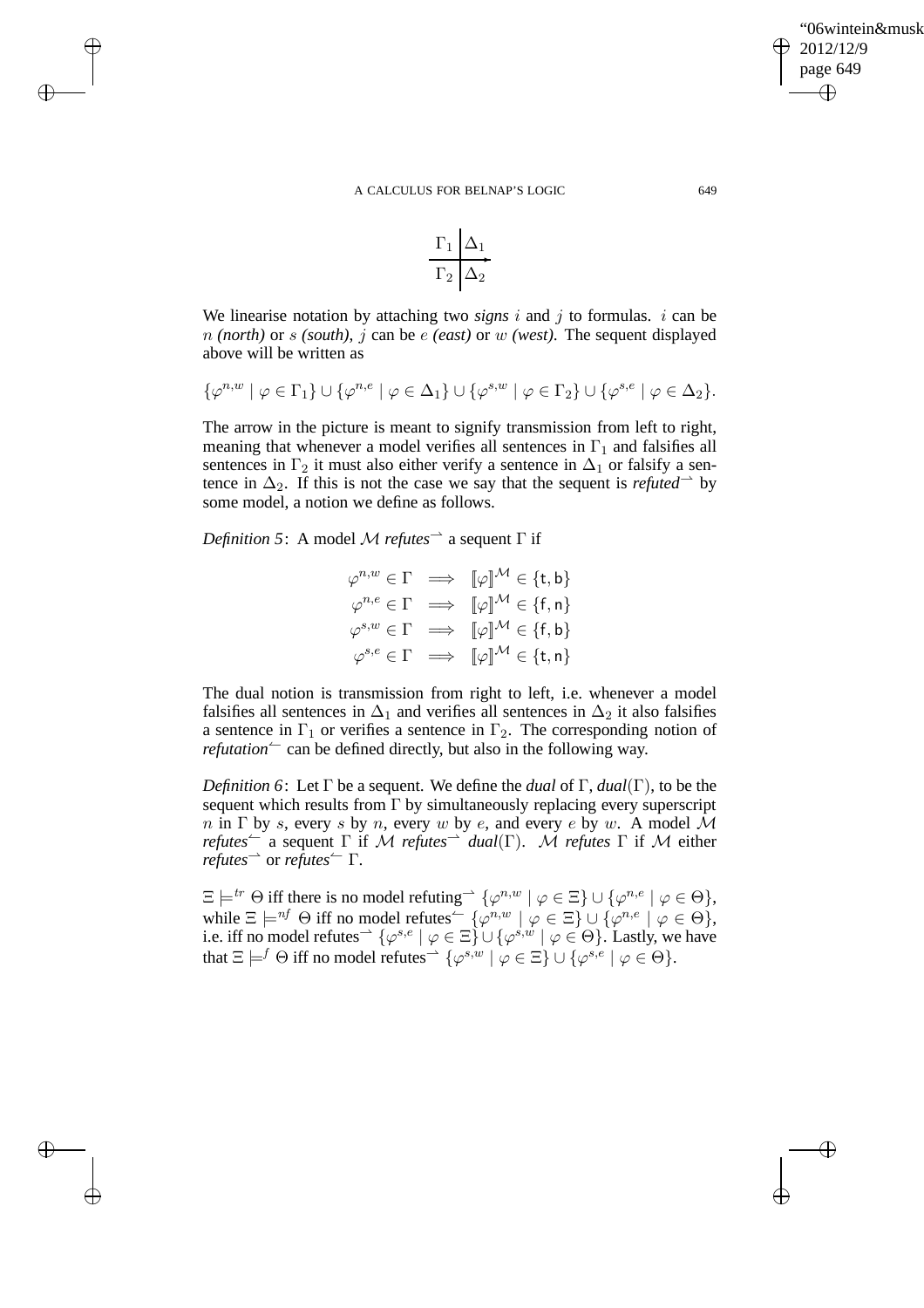## '06wintein&musk 2012/12/9 page 649 ✐ ✐

✐

✐

#### A CALCULUS FOR BELNAP'S LOGIC 649

$$
\frac{\Gamma_1|\Delta_1}{\Gamma_2|\Delta_2}
$$

We linearise notation by attaching two *signs*  $i$  and  $j$  to formulas.  $i$  can be n *(north)* or s *(south)*, j can be e *(east)* or w *(west)*. The sequent displayed above will be written as

$$
\{\varphi^{n,w} \mid \varphi \in \Gamma_1\} \cup \{\varphi^{n,e} \mid \varphi \in \Delta_1\} \cup \{\varphi^{s,w} \mid \varphi \in \Gamma_2\} \cup \{\varphi^{s,e} \mid \varphi \in \Delta_2\}.
$$

The arrow in the picture is meant to signify transmission from left to right, meaning that whenever a model verifies all sentences in  $\Gamma_1$  and falsifies all sentences in  $\Gamma_2$  it must also either verify a sentence in  $\Delta_1$  or falsify a sentence in  $\Delta_2$ . If this is not the case we say that the sequent is *refuted*  $\rightarrow$  by some model, a notion we define as follows.

*Definition 5*: A model M *refutes*⇀ a sequent Γ if

 $\rightarrow$ 

 $\rightarrow$ 

✐

✐

$$
\varphi^{n,w} \in \Gamma \implies \llbracket \varphi \rrbracket^{\mathcal{M}} \in \{\mathsf{t},\mathsf{b}\}
$$

$$
\varphi^{n,e} \in \Gamma \implies \llbracket \varphi \rrbracket^{\mathcal{M}} \in \{\mathsf{f},\mathsf{n}\}
$$

$$
\varphi^{s,w} \in \Gamma \implies \llbracket \varphi \rrbracket^{\mathcal{M}} \in \{\mathsf{f},\mathsf{b}\}
$$

$$
\varphi^{s,e} \in \Gamma \implies \llbracket \varphi \rrbracket^{\mathcal{M}} \in \{\mathsf{t},\mathsf{n}\}
$$

The dual notion is transmission from right to left, i.e. whenever a model falsifies all sentences in  $\Delta_1$  and verifies all sentences in  $\Delta_2$  it also falsifies a sentence in  $\Gamma_1$  or verifies a sentence in  $\Gamma_2$ . The corresponding notion of *refutation*  $\sim$  can be defined directly, but also in the following way.

*Definition 6*: Let Γ be a sequent. We define the *dual* of Γ, *dual*(Γ), to be the sequent which results from  $\Gamma$  by simultaneously replacing every superscript n in  $\Gamma$  by s, every s by n, every w by e, and every e by w. A model M *refutes*  $\subset$  a sequent  $\Gamma$  if  $\cal{M}$  *refutes*  $\subset$  *dual*( $\Gamma$ ).  $\cal{M}$  *refutes*  $\Gamma$  if  $\cal{M}$  either *refutes*⇀ or *refutes*↼ Γ.

 $\Xi \models^{tr} \Theta$  iff there is no model refuting  $\rightarrow \{\varphi^{n,w} \mid \varphi \in \Xi\} \cup \{\varphi^{n,e} \mid \varphi \in \Theta\},$ while  $\Xi \models^{nf} \Theta$  iff no model refutes<sup> $\leftarrow \{\varphi^{n,w} \mid \varphi \in \Xi\} \cup \{\varphi^{n,e} \mid \varphi \in \Theta\},$ </sup> i.e. iff no model refutes<sup> $\rightarrow \{\varphi^{s,e} \mid \varphi \in \Xi\} \cup \{\varphi^{s,w} \mid \varphi \in \Theta\}$ . Lastly, we have</sup> that  $\Xi \models^f \Theta$  iff no model refutes<sup> $\rightarrow \{\varphi^{s,w} \mid \varphi \in \Xi\} \cup \{\varphi^{s,e} \mid \varphi \in \Theta\}.$ </sup>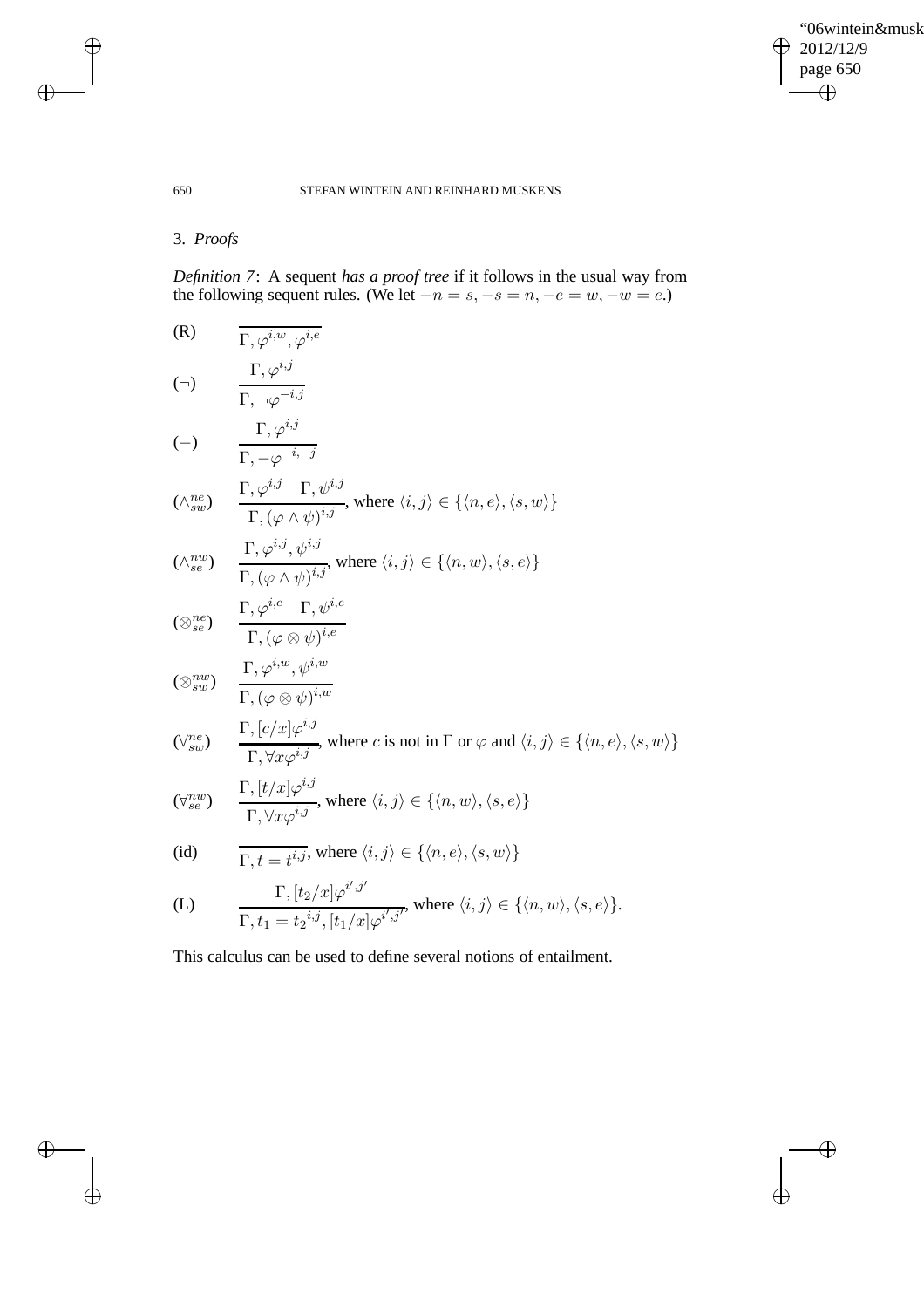$\bigoplus$ 

✐

## 650 STEFAN WINTEIN AND REINHARD MUSKENS

# 3. *Proofs*

 $\rightarrow$ 

 $\bigoplus$ 

✐

✐

*Definition 7*: A sequent *has a proof tree* if it follows in the usual way from the following sequent rules. (We let  $-n = s, -s = n, -e = w, -w = e$ .)

(R)  
\n
$$
\overline{\Gamma, \varphi^{i,w}, \varphi^{i,e}}
$$
\n
$$
(\neg) \qquad \frac{\Gamma, \varphi^{i,j}}{\Gamma, \neg \varphi^{-i,j}}
$$
\n
$$
(\neg) \qquad \frac{\Gamma, \varphi^{i,j}}{\Gamma, \neg \varphi^{-i,-j}}
$$
\n
$$
(\wedge_{sw}^{ne}) \qquad \frac{\Gamma, \varphi^{i,j} \Gamma, \psi^{i,j}}{\Gamma, (\varphi \wedge \psi)^{i,j}}, \text{ where } \langle i, j \rangle \in \{ \langle n, e \rangle, \langle s, w \rangle \}
$$
\n
$$
(\wedge_{sw}^{nw}) \qquad \frac{\Gamma, \varphi^{i,j}, \psi^{i,j}}{\Gamma, (\varphi \wedge \psi)^{i,j}}, \text{ where } \langle i, j \rangle \in \{ \langle n, w \rangle, \langle s, e \rangle \}
$$
\n
$$
(\otimes_{se}^{ne}) \qquad \frac{\Gamma, \varphi^{i,e} \Gamma, \psi^{i,e}}{\Gamma, (\varphi \otimes \psi)^{i,e}}
$$
\n
$$
(\otimes_{sw}^{nw}) \qquad \frac{\Gamma, \varphi^{i,w}, \psi^{i,w}}{\Gamma, (\varphi \otimes \psi)^{i,w}}
$$
\n
$$
(\forall_{sw}^{me}) \qquad \frac{\Gamma, [c/x] \varphi^{i,j}}{\Gamma, \forall x \varphi^{i,j}}, \text{ where } c \text{ is not in } \Gamma \text{ or } \varphi \text{ and } \langle i, j \rangle \in \{ \langle n, e \rangle, \langle s, w \rangle \}
$$
\n
$$
(\forall_{se}^{nw}) \qquad \frac{\Gamma, [t/x] \varphi^{i,j}}{\Gamma, \forall x \varphi^{i,j}}, \text{ where } \langle i, j \rangle \in \{ \langle n, w \rangle, \langle s, e \rangle \}
$$
\n
$$
(id) \qquad \frac{\Gamma, [t/x] \varphi^{i,j}}{\Gamma, \forall x \varphi^{i,j}}, \text{ where } \langle i, j \rangle \in \{ \langle n, e \rangle, \langle s, w \rangle \}
$$

(L) 
$$
\Gamma, [t_2/x]\varphi^{i',j'}\over \Gamma, t_1 = t_2^{i,j}, [t_1/x]\varphi^{i',j'}, \text{ where } \langle i, j \rangle \in \{\langle n, w \rangle, \langle s, e \rangle\}.
$$

This calculus can be used to define several notions of entailment.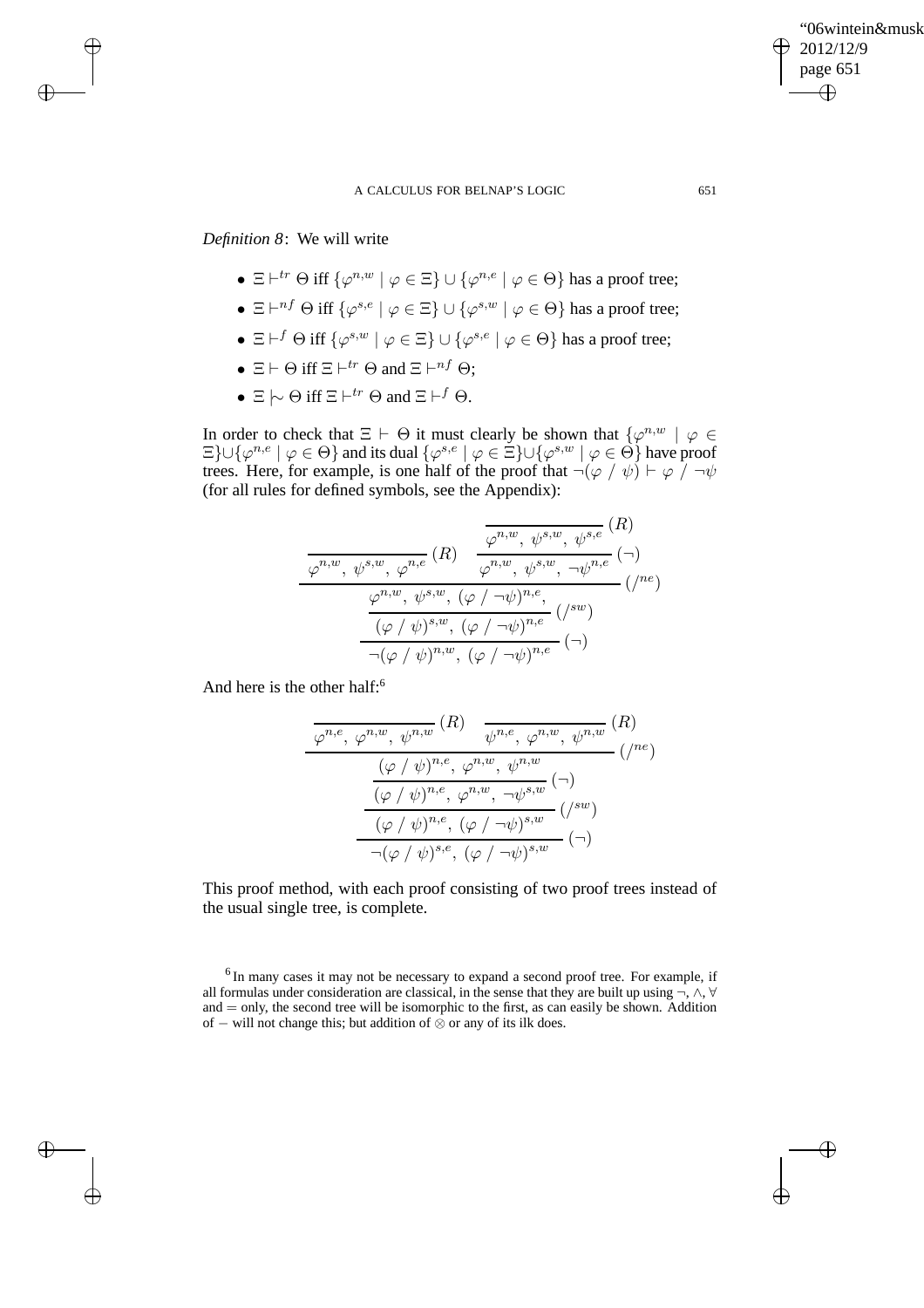# *Definition 8*: We will write

 $\rightarrow$ 

 $\rightarrow$ 

✐

✐

- $\Xi \vdash^{tr} \Theta$  iff  $\{\varphi^{n,w} \mid \varphi \in \Xi\} \cup \{\varphi^{n,e} \mid \varphi \in \Theta\}$  has a proof tree;
- $\Xi \vdash^{nf} \Theta$  iff  $\{\varphi^{s,e} \mid \varphi \in \Xi\} \cup \{\varphi^{s,w} \mid \varphi \in \Theta\}$  has a proof tree;
- $\Xi$   $\vdash^f \Theta$  iff  $\{\varphi^{s,w} \mid \varphi \in \Xi\} \cup \{\varphi^{s,e} \mid \varphi \in \Theta\}$  has a proof tree;
- $\Xi \vdash \Theta$  iff  $\Xi \vdash^{tr} \Theta$  and  $\Xi \vdash^{nf} \Theta$ ;
- $\Xi \hspace{0.2em}\sim\hspace{-0.9em}\mid\hspace{0.58em} \Theta$  iff  $\Xi \vdash^{tr} \Theta$  and  $\Xi \vdash^{f} \Theta$ .

In order to check that  $\Xi$   $\vdash$   $\Theta$  it must clearly be shown that  $\{\varphi^{n,w} \mid \varphi \in \Theta\}$  $\Xi$ }∪{ $\varphi^{n,e} \mid \varphi \in \Theta$ } and its dual  $\{\varphi^{s,e} \mid \varphi \in \Xi\}$ ∪{ $\varphi^{s,w} \mid \varphi \in \Theta$ } have proof trees. Here, for example, is one half of the proof that  $\neg(\varphi / \psi) \vdash \varphi / \neg \psi$ (for all rules for defined symbols, see the Appendix):

$$
\frac{\varphi^{n,w}, \psi^{s,w}, \varphi^{n,e}(R)}{\varphi^{n,w}, \psi^{s,w}, \psi^{s,w}, \psi^{s,e}(R)}
$$
\n
$$
\frac{\varphi^{n,w}, \psi^{s,w}, (\varphi/\neg\psi)^{n,e}}{(\varphi/\psi)^{s,w}, (\varphi/\neg\psi)^{n,e}} (\wedge^{\text{sw}})
$$
\n
$$
\frac{\varphi^{n,w}, \psi^{s,w}, (\varphi/\neg\psi)^{n,e}}{\neg(\varphi/\psi)^{n,w}, (\varphi/\neg\psi)^{n,e}} (\neg)
$$

And here is the other half:<sup>6</sup>

$$
\frac{\varphi^{n,e}, \varphi^{n,w}, \psi^{n,w}}{(\varphi/\psi)^{n,e}, \varphi^{n,w}, \psi^{n,w}} (R)
$$
\n
$$
\frac{(\varphi/\psi)^{n,e}, \varphi^{n,w}, \psi^{n,w}}{(\varphi/\psi)^{n,e}, \varphi^{n,w}, \neg \psi^{s,w}} (\neg)
$$
\n
$$
\frac{(\varphi/\psi)^{n,e}, (\varphi/\neg \psi)^{s,w}}{(\varphi/\psi)^{n,e}, (\varphi/\neg \psi)^{s,w}} (\neg)
$$

This proof method, with each proof consisting of two proof trees instead of the usual single tree, is complete.

<sup>6</sup> In many cases it may not be necessary to expand a second proof tree. For example, if all formulas under consideration are classical, in the sense that they are built up using  $\neg$ ,  $\wedge$ ,  $\forall$  $and = only, the second tree will be isomorphic to the first, as can easily be shown. Addition$ of − will not change this; but addition of ⊗ or any of its ilk does.

"06wintein&musk

2012/12/9 page 651

✐

✐

✐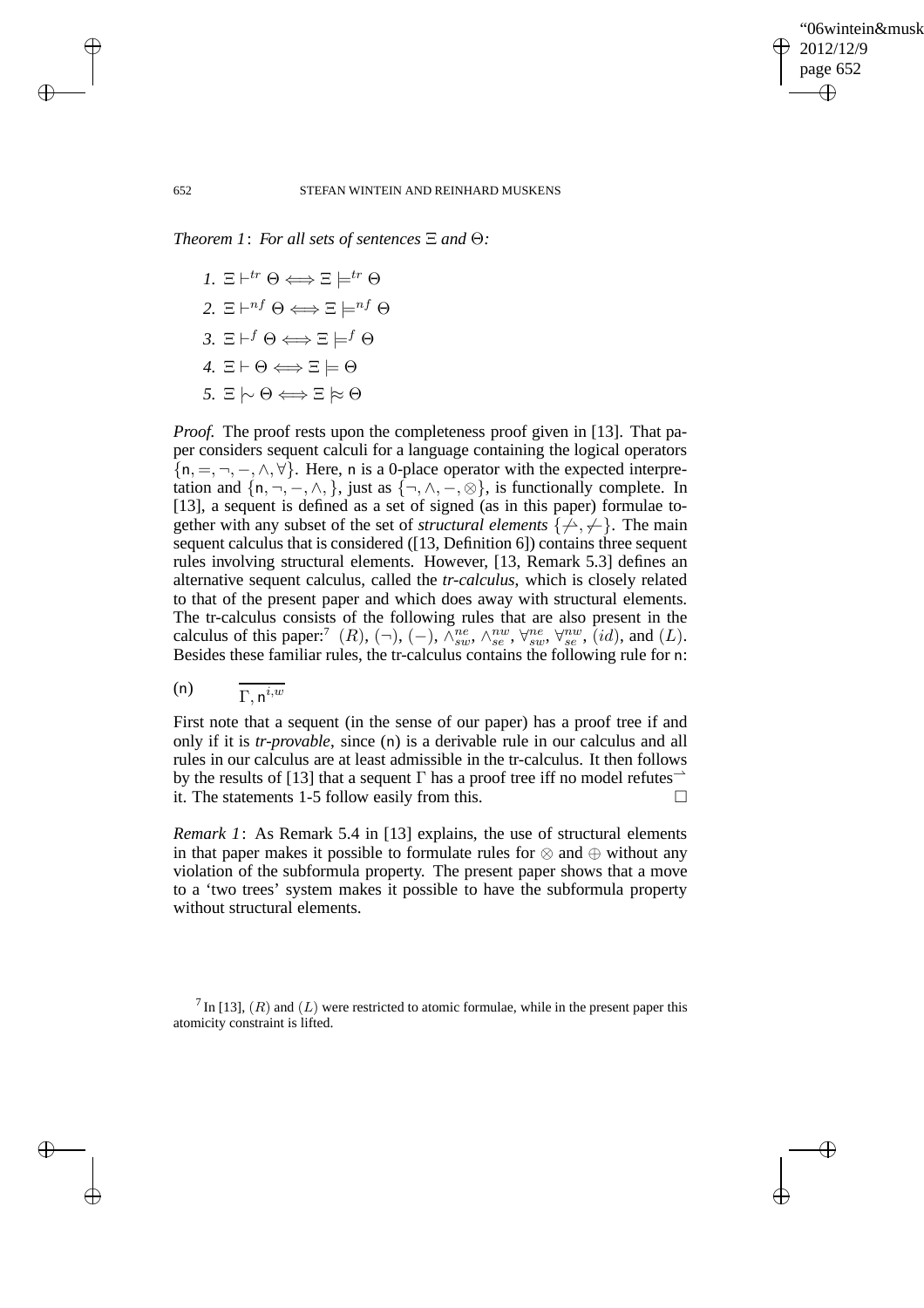✐

### 652 STEFAN WINTEIN AND REINHARD MUSKENS

*Theorem 1*: *For all sets of sentences* Ξ *and* Θ*:*

*1.*  $\Xi \vdash^{tr} \Theta \Longleftrightarrow \Xi \models^{tr} \Theta$ 2. Ξ $\vdash^{nf} \Theta \Longleftrightarrow \Xi \models^{nf} \Theta$ *3.* Ξ $\vdash^f \Theta \Longleftrightarrow \Xi \models^f \Theta$  $4. \, \Xi \vdash \Theta \Longleftrightarrow \Xi \models \Theta$  $5. E | ∞ θ$   $\Longleftrightarrow$   $E | ∞ θ$ 

*Proof.* The proof rests upon the completeness proof given in [13]. That paper considers sequent calculi for a language containing the logical operators  $\{n, =, \neg, -, \wedge, \forall\}$ . Here, n is a 0-place operator with the expected interpretation and  $\{n, \neg, -, \land, \}$ , just as  $\{\neg, \land, -, \otimes\}$ , is functionally complete. In [13], a sequent is defined as a set of signed (as in this paper) formulae together with any subset of the set of *structural elements*  $\{\neq, \neq\}$ . The main sequent calculus that is considered ([13, Definition 6]) contains three sequent rules involving structural elements. However, [13, Remark 5.3] defines an alternative sequent calculus, called the *tr-calculus*, which is closely related to that of the present paper and which does away with structural elements. The tr-calculus consists of the following rules that are also present in the calculus of this paper:<sup>7</sup> (R), (¬), (–),  $\tilde{\wedge}_{sw}^{ne}$ ,  $\wedge_{se}^{nw}$ ,  $\forall_{sw}^{ne}$ ,  $\forall_{sw}^{nw}$ ,  $(id)$ , and (L). Besides these familiar rules, the tr-calculus contains the following rule for n:

$$
(n) \qquad \frac{}{\Gamma, n^{i,w}}
$$

First note that a sequent (in the sense of our paper) has a proof tree if and only if it is *tr-provable*, since (n) is a derivable rule in our calculus and all rules in our calculus are at least admissible in the tr-calculus. It then follows by the results of [13] that a sequent  $\Gamma$  has a proof tree iff no model refutes<sup> $\rightarrow$ </sup> it. The statements 1-5 follow easily from this.

*Remark 1*: As Remark 5.4 in [13] explains, the use of structural elements in that paper makes it possible to formulate rules for ⊗ and ⊕ without any violation of the subformula property. The present paper shows that a move to a 'two trees' system makes it possible to have the subformula property without structural elements.

 $^7$  In [13],  $(R)$  and  $(L)$  were restricted to atomic formulae, while in the present paper this atomicity constraint is lifted.

 $\rightarrow$ 

 $\rightarrow$ 

✐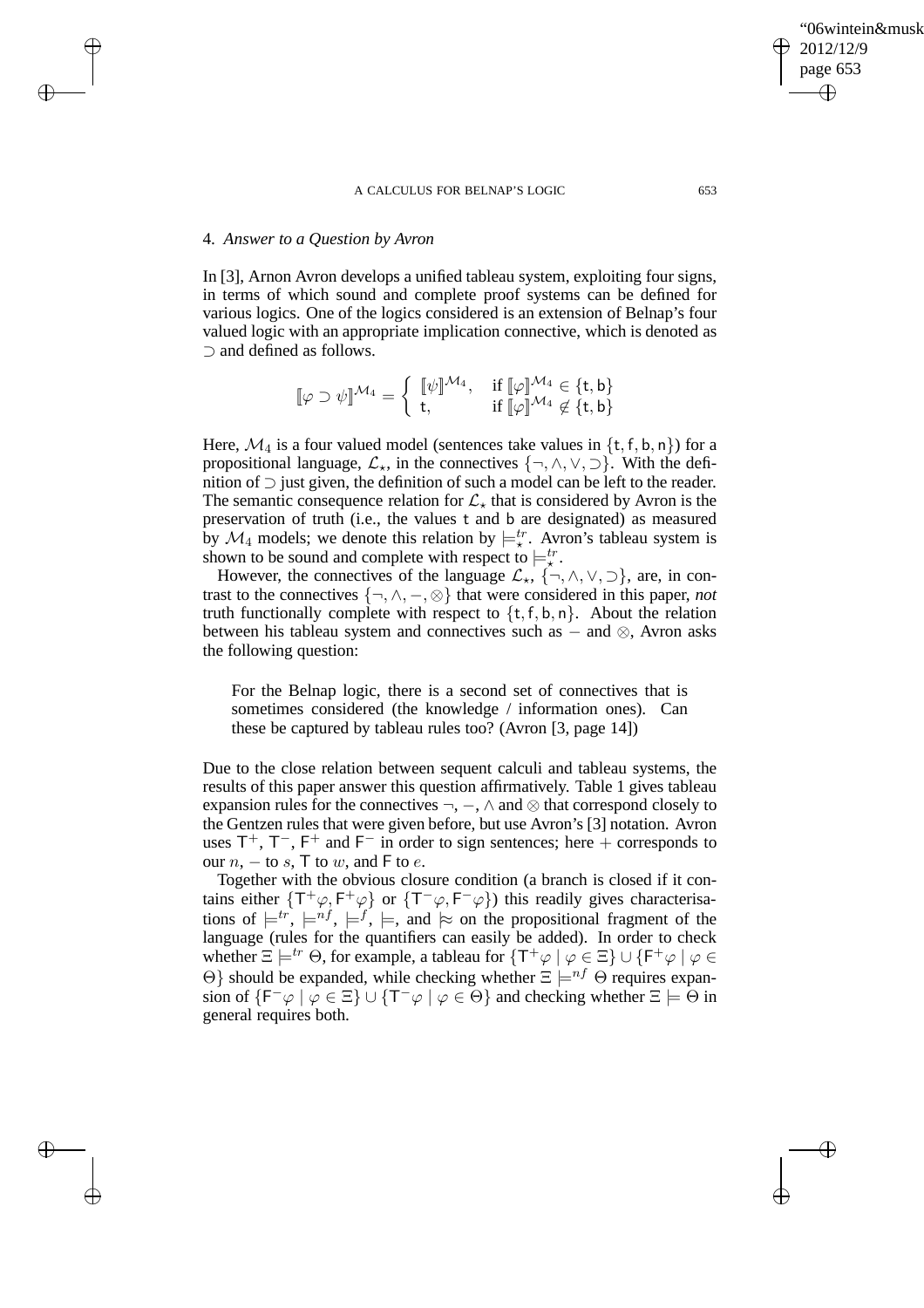## 4. *Answer to a Question by Avron*

 $\rightarrow$ 

 $\rightarrow$ 

✐

✐

In [3], Arnon Avron develops a unified tableau system, exploiting four signs, in terms of which sound and complete proof systems can be defined for various logics. One of the logics considered is an extension of Belnap's four valued logic with an appropriate implication connective, which is denoted as ⊃ and defined as follows.

$$
[\![\varphi\supset\psi]\!]^{{\mathcal{M}}_4}=\left\{\begin{array}{ll} [\![\psi]\!]^{{\mathcal{M}}_4},&\text{ if } [\![\varphi]\!]^{{\mathcal{M}}_4}\in\{t,b\} \\ t,&\text{ if } [\![\varphi]\!]^{{\mathcal{M}}_4}\not\in\{t,b\}\end{array}\right.
$$

Here,  $\mathcal{M}_4$  is a four valued model (sentences take values in {t, f, b, n}) for a propositional language,  $\mathcal{L}_\star$ , in the connectives  $\{\neg, \wedge, \vee, \supset\}$ . With the definition of ⊃ just given, the definition of such a model can be left to the reader. The semantic consequence relation for  $\mathcal{L}_{\star}$  that is considered by Avron is the preservation of truth (i.e., the values t and b are designated) as measured by  $\mathcal{M}_4$  models; we denote this relation by  $\models_{\star}^{tr}$ . Avron's tableau system is shown to be sound and complete with respect to  $\models_x^{tr}$ .

However, the connectives of the language  $\mathcal{L}_\star$ ,  $\{\neg, \wedge, \vee, \supset\}$ , are, in contrast to the connectives  $\{\neg, \wedge, -\infty\}$  that were considered in this paper, *not* truth functionally complete with respect to  $\{t, f, b, n\}$ . About the relation between his tableau system and connectives such as  $-$  and  $\otimes$ , Avron asks the following question:

For the Belnap logic, there is a second set of connectives that is sometimes considered (the knowledge / information ones). Can these be captured by tableau rules too? (Avron [3, page 14])

Due to the close relation between sequent calculi and tableau systems, the results of this paper answer this question affirmatively. Table 1 gives tableau expansion rules for the connectives  $\neg$ ,  $\neg$ ,  $\wedge$  and  $\otimes$  that correspond closely to the Gentzen rules that were given before, but use Avron's [3] notation. Avron uses  $T^+$ ,  $T^-$ ,  $F^+$  and  $F^-$  in order to sign sentences; here + corresponds to our  $n, -$  to  $s, \mathsf{T}$  to  $w$ , and  $\mathsf{F}$  to  $e$ .

Together with the obvious closure condition (a branch is closed if it contains either  $\{T^+\varphi, F^+\varphi\}$  or  $\{T^-\varphi, F^-\varphi\}$ ) this readily gives characterisations of  $\models^{tr}$ ,  $\models^{nf}$ ,  $\models^{f}$ ,  $\models$ , and  $\models$  on the propositional fragment of the language (rules for the quantifiers can easily be added). In order to check whether  $\Xi \models^{tr} \Theta$ , for example, a tableau for  $\{T^+\varphi \mid \varphi \in \Xi\} \cup \{F^+\varphi \mid \varphi \in \Xi\}$ Θ} should be expanded, while checking whether  $\Xi \models^{nf} \Theta$  requires expansion of  $\{F^-\varphi \mid \varphi \in \Xi\} \cup \{T^-\varphi \mid \varphi \in \Theta\}$  and checking whether  $\Xi \models \Theta$  in general requires both.

✐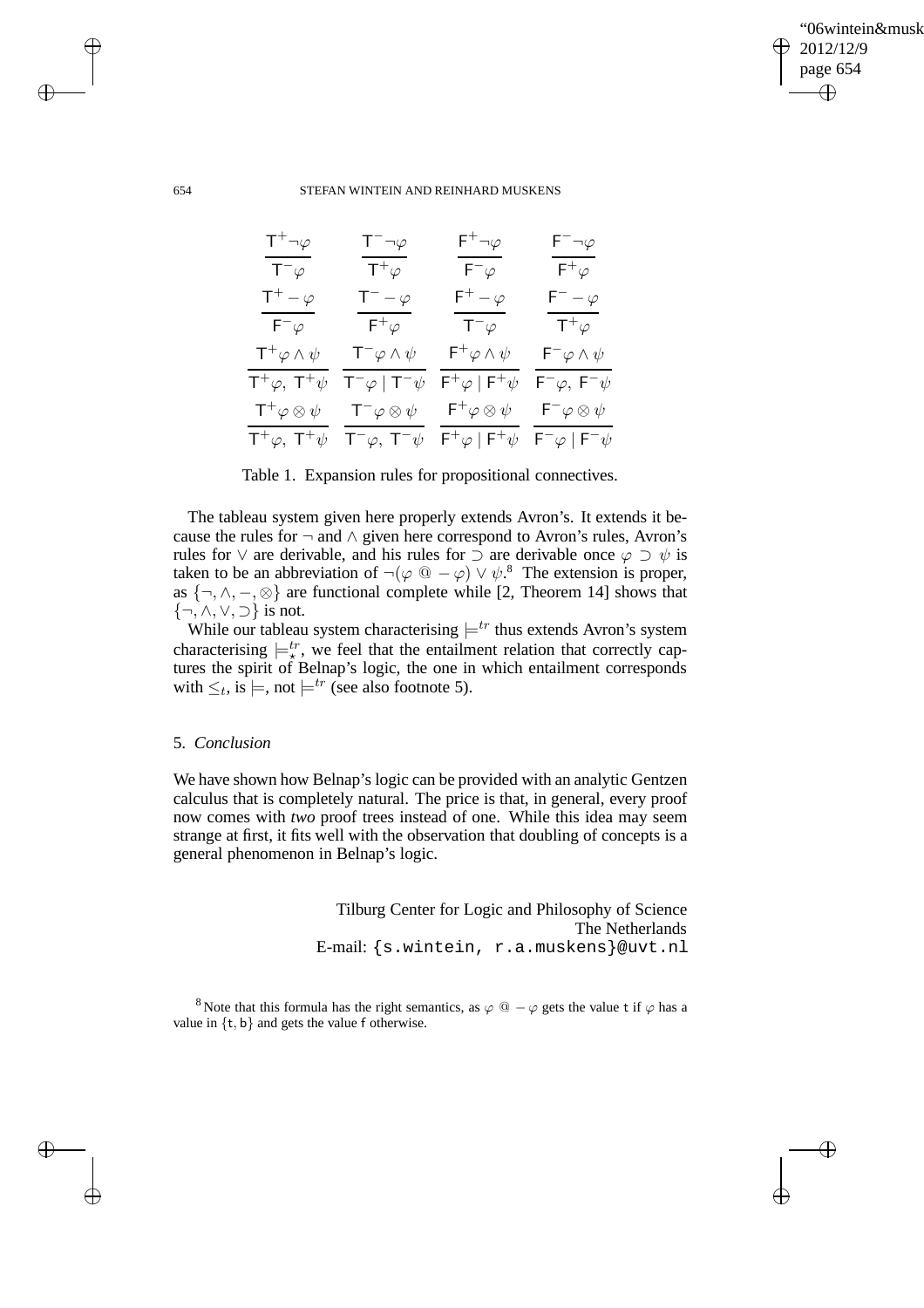✐

### 654 STEFAN WINTEIN AND REINHARD MUSKENS

| $T^+\neg\varphi$                   | $T^{-}\neg\varphi$              | $\mathsf{F}^+\neg\varphi$          | $\mathsf{F}^-\neg\varphi$                |
|------------------------------------|---------------------------------|------------------------------------|------------------------------------------|
| $T^{-}\varphi$                     | $\mathsf{T}^+\varphi^-$         | $F^- \varphi$                      | $\mathsf{F}^+\varphi^-$                  |
| $T^+ - \varphi$                    | $\mathsf{T}^- - \varphi$        | $\mathsf{F}^+-\varphi$             | $\mathsf{F}^- - \varphi$                 |
| $F^{-}\varphi$                     | $\mathsf{F}^+\varphi$           | $T^{-}\varphi$                     | $\mathsf{T}^+\varphi$                    |
| $\mathsf{T}^+\varphi\wedge\psi$    | $\mathsf{T}^-\varphi\wedge\psi$ | $\mathsf{F}^+\varphi\wedge\psi$    | $\mathsf{F}^-\varphi\wedge\psi$          |
| $T^+\varphi$ , $T^+\psi$           | $T^{-}\varphi$   $T^{-}\psi$    | $F^+\varphi \mid F^+\psi$          | $\mathsf{F}^-\varphi,\;\mathsf{F}^-\psi$ |
| $\mathsf{T}^+\varphi \otimes \psi$ | $T^{-}\varphi \otimes \psi$     | $\mathsf{F}^{+}\varphi\otimes\psi$ | $\mathsf{F}^-\varphi\otimes\psi$         |
| $T^+\varphi$ , $T^+\psi$           | $T^{-}\varphi$ , $T^{-}\psi$    | $F^+\varphi \mid F^+\psi$          | $F^{-}\varphi \mid F^{-}\psi$            |

Table 1. Expansion rules for propositional connectives.

The tableau system given here properly extends Avron's. It extends it because the rules for  $\neg$  and  $\wedge$  given here correspond to Avron's rules, Avron's rules for  $\vee$  are derivable, and his rules for  $\supset$  are derivable once  $\varphi \supset \psi$  is taken to be an abbreviation of  $\neg(\varphi \ @ -\varphi) \lor \psi$ .<sup>8</sup> The extension is proper, as  $\{\neg, \wedge, -\varnothing\}$  are functional complete while [2, Theorem 14] shows that  $\{\neg, \wedge, \vee, \supset\}$  is not.

While our tableau system characterising  $\models^{tr}$  thus extends Avron's system characterising  $\models_x^{tr}$ , we feel that the entailment relation that correctly captures the spirit of Belnap's logic, the one in which entailment corresponds with  $\leq_t$ , is  $\models$ , not  $\models^{tr}$  (see also footnote 5).

# 5. *Conclusion*

We have shown how Belnap's logic can be provided with an analytic Gentzen calculus that is completely natural. The price is that, in general, every proof now comes with *two* proof trees instead of one. While this idea may seem strange at first, it fits well with the observation that doubling of concepts is a general phenomenon in Belnap's logic.

> Tilburg Center for Logic and Philosophy of Science The Netherlands E-mail: {s.wintein, r.a.muskens}@uvt.nl

<sup>8</sup> Note that this formula has the right semantics, as  $\varphi$  @  $-\varphi$  gets the value t if  $\varphi$  has a value in  $\{t, b\}$  and gets the value f otherwise.

 $\rightarrow$ 

 $\rightarrow$ 

✐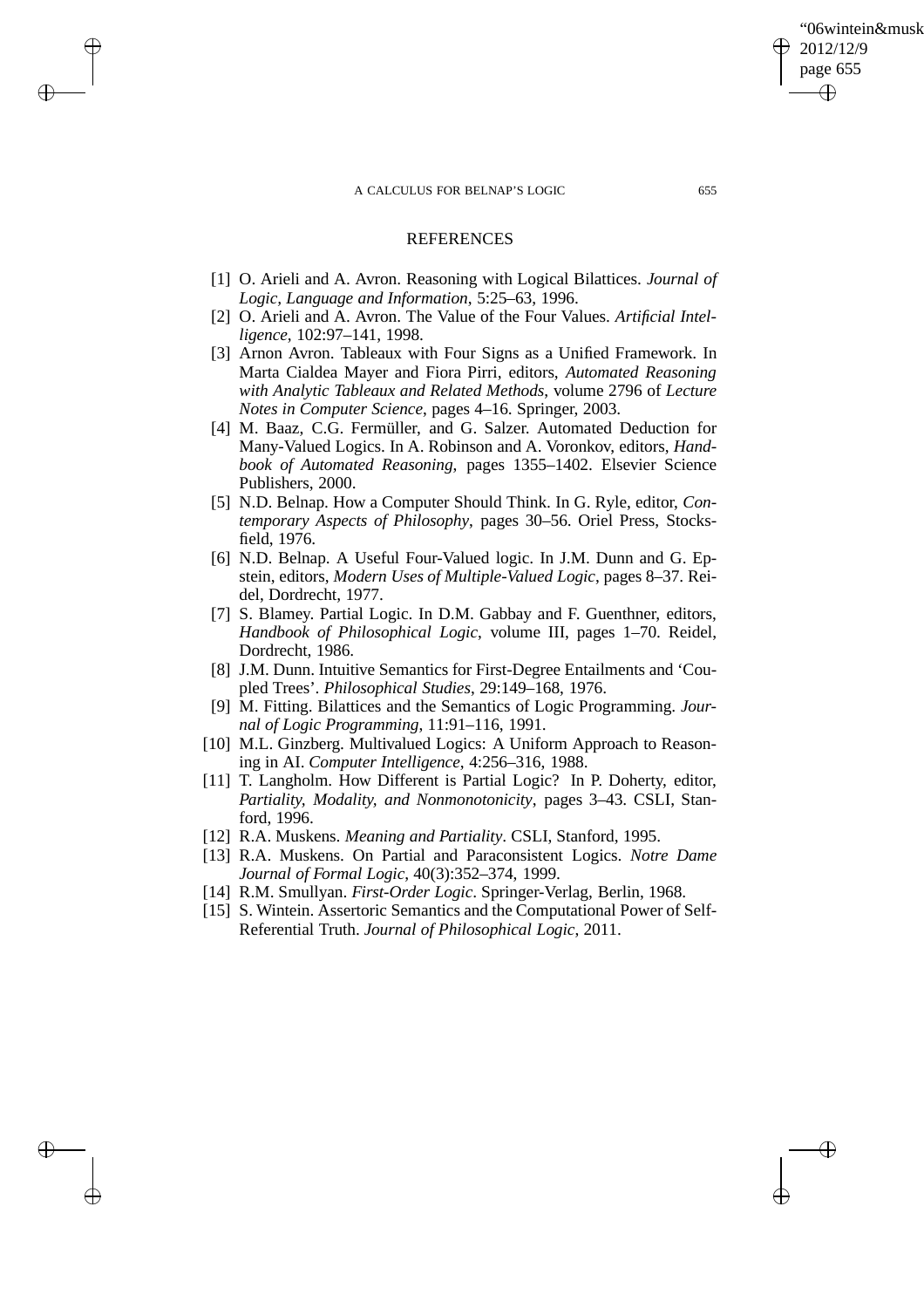$\rightarrow$ 

 $\rightarrow$ 

✐

✐

## REFERENCES

- [1] O. Arieli and A. Avron. Reasoning with Logical Bilattices. *Journal of Logic, Language and Information*, 5:25–63, 1996.
- [2] O. Arieli and A. Avron. The Value of the Four Values. *Artificial Intelligence*, 102:97–141, 1998.
- [3] Arnon Avron. Tableaux with Four Signs as a Unified Framework. In Marta Cialdea Mayer and Fiora Pirri, editors, *Automated Reasoning with Analytic Tableaux and Related Methods*, volume 2796 of *Lecture Notes in Computer Science*, pages 4–16. Springer, 2003.
- [4] M. Baaz, C.G. Fermüller, and G. Salzer. Automated Deduction for Many-Valued Logics. In A. Robinson and A. Voronkov, editors, *Handbook of Automated Reasoning*, pages 1355–1402. Elsevier Science Publishers, 2000.
- [5] N.D. Belnap. How a Computer Should Think. In G. Ryle, editor, *Contemporary Aspects of Philosophy*, pages 30–56. Oriel Press, Stocksfield, 1976.
- [6] N.D. Belnap. A Useful Four-Valued logic. In J.M. Dunn and G. Epstein, editors, *Modern Uses of Multiple-Valued Logic*, pages 8–37. Reidel, Dordrecht, 1977.
- [7] S. Blamey. Partial Logic. In D.M. Gabbay and F. Guenthner, editors, *Handbook of Philosophical Logic*, volume III, pages 1–70. Reidel, Dordrecht, 1986.
- [8] J.M. Dunn. Intuitive Semantics for First-Degree Entailments and 'Coupled Trees'. *Philosophical Studies*, 29:149–168, 1976.
- [9] M. Fitting. Bilattices and the Semantics of Logic Programming. *Journal of Logic Programming*, 11:91–116, 1991.
- [10] M.L. Ginzberg. Multivalued Logics: A Uniform Approach to Reasoning in AI. *Computer Intelligence*, 4:256–316, 1988.
- [11] T. Langholm. How Different is Partial Logic? In P. Doherty, editor, *Partiality, Modality, and Nonmonotonicity*, pages 3–43. CSLI, Stanford, 1996.
- [12] R.A. Muskens. *Meaning and Partiality*. CSLI, Stanford, 1995.
- [13] R.A. Muskens. On Partial and Paraconsistent Logics. *Notre Dame Journal of Formal Logic*, 40(3):352–374, 1999.
- [14] R.M. Smullyan. *First-Order Logic*. Springer-Verlag, Berlin, 1968.
- [15] S. Wintein. Assertoric Semantics and the Computational Power of Self-Referential Truth. *Journal of Philosophical Logic*, 2011.

'06wintein&musk

2012/12/9 page 655

✐

✐

✐